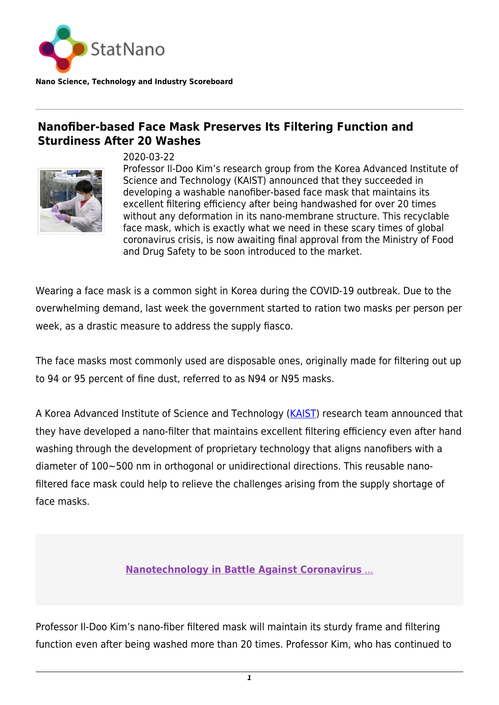

**Nano Science, Technology and Industry Scoreboard**

## **Nanofiber-based Face Mask Preserves Its Filtering Function and Sturdiness After 20 Washes**



2020-03-22

Professor Il-Doo Kim's research group from the Korea Advanced Institute of Science and Technology (KAIST) announced that they succeeded in developing a washable nanofiber-based face mask that maintains its excellent filtering efficiency after being handwashed for over 20 times without any deformation in its nano-membrane structure. This recyclable face mask, which is exactly what we need in these scary times of global coronavirus crisis, is now awaiting final approval from the Ministry of Food and Drug Safety to be soon introduced to the market.

Wearing a face mask is a common sight in Korea during the COVID-19 outbreak. Due to the overwhelming demand, last week the government started to ration two masks per person per week, as a drastic measure to address the supply fiasco.

The face masks most commonly used are disposable ones, originally made for filtering out up to 94 or 95 percent of fine dust, referred to as N94 or N95 masks.

A Korea Advanced Institute of Science and Technology [\(KAIST](https://www.kaist.ac.kr/en/)) research team announced that they have developed a nano-filter that maintains excellent filtering efficiency even after hand washing through the development of proprietary technology that aligns nanofibers with a diameter of 100~500 nm in orthogonal or unidirectional directions. This reusable nanofiltered face mask could help to relieve the challenges arising from the supply shortage of face masks.

**[Nanotechnology in Battle Against Coronavirus](https://statnano.com/nanotechnology-in-battle-against-coronavirus)** [...](https://statnano.com/nanotechnology-in-battle-against-coronavirus)

Professor Il-Doo Kim's nano-fiber filtered mask will maintain its sturdy frame and filtering function even after being washed more than 20 times. Professor Kim, who has continued to